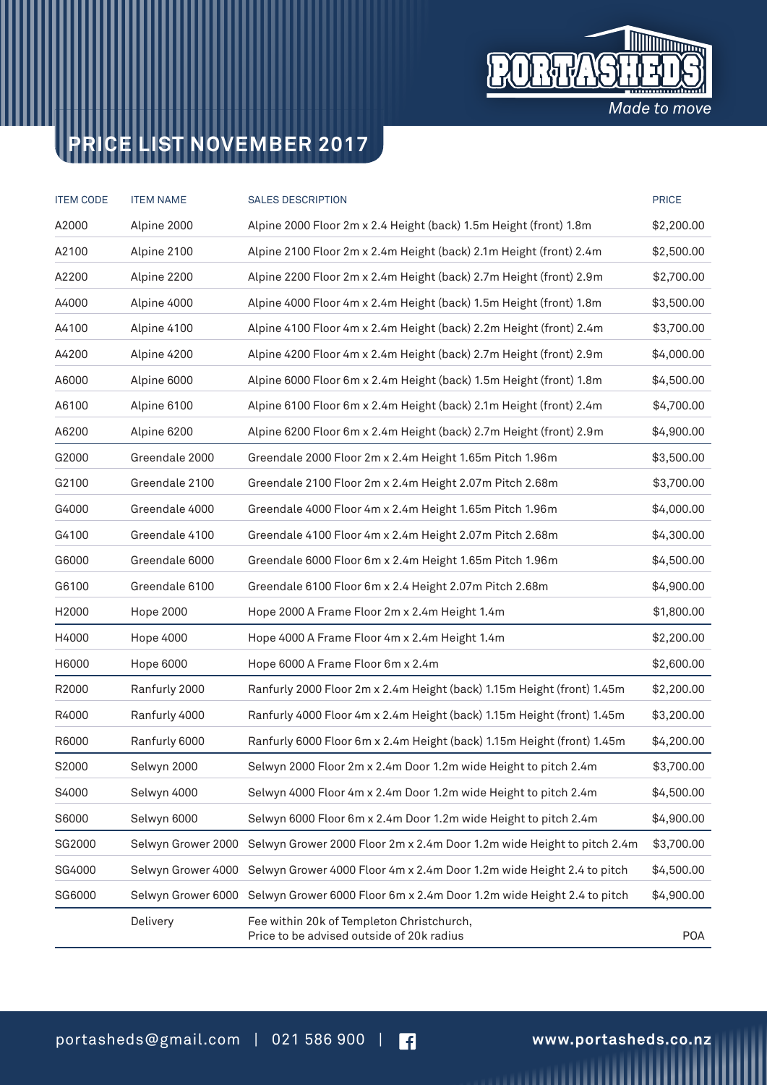

## **PRICE LIST NOVEMBER 2017**

| <b>ITEM CODE</b> | <b>ITEM NAME</b> | <b>PRICE</b><br><b>SALES DESCRIPTION</b>                                                  |            |  |
|------------------|------------------|-------------------------------------------------------------------------------------------|------------|--|
| A2000            | Alpine 2000      | Alpine 2000 Floor 2m x 2.4 Height (back) 1.5m Height (front) 1.8m                         |            |  |
| A2100            | Alpine 2100      | Alpine 2100 Floor 2m x 2.4m Height (back) 2.1m Height (front) 2.4m                        |            |  |
| A2200            | Alpine 2200      | Alpine 2200 Floor 2m x 2.4m Height (back) 2.7m Height (front) 2.9m                        |            |  |
| A4000            | Alpine 4000      | Alpine 4000 Floor 4m x 2.4m Height (back) 1.5m Height (front) 1.8m                        |            |  |
| A4100            | Alpine 4100      | Alpine 4100 Floor 4m x 2.4m Height (back) 2.2m Height (front) 2.4m                        | \$3,700.00 |  |
| A4200            | Alpine 4200      | Alpine 4200 Floor 4m x 2.4m Height (back) 2.7m Height (front) 2.9m                        | \$4,000.00 |  |
| A6000            | Alpine 6000      | Alpine 6000 Floor 6m x 2.4m Height (back) 1.5m Height (front) 1.8m                        |            |  |
| A6100            | Alpine 6100      | Alpine 6100 Floor 6m x 2.4m Height (back) 2.1m Height (front) 2.4m                        | \$4,700.00 |  |
| A6200            | Alpine 6200      | Alpine 6200 Floor 6m x 2.4m Height (back) 2.7m Height (front) 2.9m                        |            |  |
| G2000            | Greendale 2000   | Greendale 2000 Floor 2m x 2.4m Height 1.65m Pitch 1.96m                                   | \$3,500.00 |  |
| G2100            | Greendale 2100   | Greendale 2100 Floor 2m x 2.4m Height 2.07m Pitch 2.68m                                   | \$3,700.00 |  |
| G4000            | Greendale 4000   | Greendale 4000 Floor 4m x 2.4m Height 1.65m Pitch 1.96m                                   | \$4,000.00 |  |
| G4100            | Greendale 4100   | Greendale 4100 Floor 4m x 2.4m Height 2.07m Pitch 2.68m                                   | \$4,300.00 |  |
| G6000            | Greendale 6000   | Greendale 6000 Floor 6m x 2.4m Height 1.65m Pitch 1.96m                                   | \$4,500.00 |  |
| G6100            | Greendale 6100   | Greendale 6100 Floor 6m x 2.4 Height 2.07m Pitch 2.68m                                    | \$4,900.00 |  |
| H2000            | <b>Hope 2000</b> | Hope 2000 A Frame Floor 2m x 2.4m Height 1.4m                                             | \$1,800.00 |  |
| H4000            | Hope 4000        | Hope 4000 A Frame Floor 4m x 2.4m Height 1.4m                                             | \$2,200.00 |  |
| H6000            | Hope 6000        | Hope 6000 A Frame Floor 6m x 2.4m                                                         | \$2,600.00 |  |
| R2000            | Ranfurly 2000    | Ranfurly 2000 Floor 2m x 2.4m Height (back) 1.15m Height (front) 1.45m                    | \$2,200.00 |  |
| R4000            | Ranfurly 4000    | Ranfurly 4000 Floor 4m x 2.4m Height (back) 1.15m Height (front) 1.45m                    |            |  |
| R6000            | Ranfurly 6000    | Ranfurly 6000 Floor 6m x 2.4m Height (back) 1.15m Height (front) 1.45m                    |            |  |
| S2000            | Selwyn 2000      | Selwyn 2000 Floor 2m x 2.4m Door 1.2m wide Height to pitch 2.4m                           | \$3,700.00 |  |
| S4000            | Selwyn 4000      | Selwyn 4000 Floor 4m x 2.4m Door 1.2m wide Height to pitch 2.4m                           |            |  |
| S6000            | Selwyn 6000      | Selwyn 6000 Floor 6m x 2.4m Door 1.2m wide Height to pitch 2.4m                           | \$4,900.00 |  |
| SG2000           |                  | Selwyn Grower 2000 Selwyn Grower 2000 Floor 2m x 2.4m Door 1.2m wide Height to pitch 2.4m | \$3,700.00 |  |
| SG4000           |                  | Selwyn Grower 4000 Selwyn Grower 4000 Floor 4m x 2.4m Door 1.2m wide Height 2.4 to pitch  |            |  |
| SG6000           |                  | Selwyn Grower 6000 Selwyn Grower 6000 Floor 6m x 2.4m Door 1.2m wide Height 2.4 to pitch  | \$4,900.00 |  |
|                  | Delivery         | Fee within 20k of Templeton Christchurch,<br>Price to be advised outside of 20k radius    | <b>POA</b> |  |

,,,,,,,,,